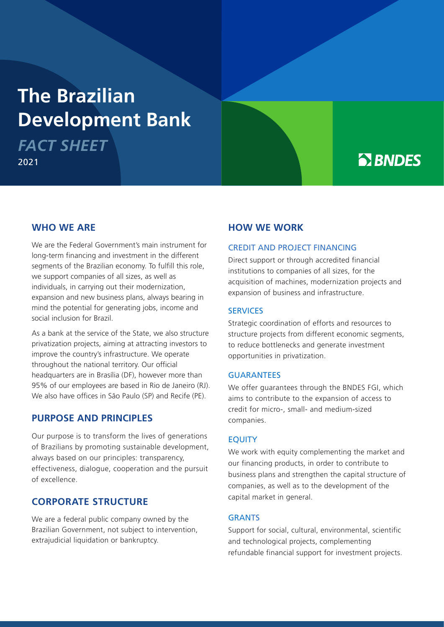# **The Brazilian Development Bank**

*FACT SHEET* 2021

# **B** BNDES

## **WHO WE ARE**

We are the Federal Government's main instrument for long-term financing and investment in the different segments of the Brazilian economy. To fulfill this role, we support companies of all sizes, as well as individuals, in carrying out their modernization, expansion and new business plans, always bearing in mind the potential for generating jobs, income and social inclusion for Brazil.

As a bank at the service of the State, we also structure privatization projects, aiming at attracting investors to improve the country's infrastructure. We operate throughout the national territory. Our official headquarters are in Brasília (DF), however more than 95% of our employees are based in Rio de Janeiro (RJ). We also have offices in São Paulo (SP) and Recife (PE).

# **PURPOSE AND PRINCIPLES**

Our purpose is to transform the lives of generations of Brazilians by promoting sustainable development, always based on our principles: transparency, effectiveness, dialogue, cooperation and the pursuit of excellence.

# **CORPORATE STRUCTURE**

We are a federal public company owned by the Brazilian Government, not subject to intervention, extrajudicial liquidation or bankruptcy.

# **HOW WE WORK**

#### CREDIT AND PROJECT FINANCING

Direct support or through accredited financial institutions to companies of all sizes, for the acquisition of machines, modernization projects and expansion of business and infrastructure.

#### **SERVICES**

Strategic coordination of efforts and resources to structure projects from different economic segments, to reduce bottlenecks and generate investment opportunities in privatization.

#### GUARANTEES

We offer guarantees through the BNDES FGI, which aims to contribute to the expansion of access to credit for micro-, small- and medium-sized companies.

#### **EQUITY**

We work with equity complementing the market and our financing products, in order to contribute to business plans and strengthen the capital structure of companies, as well as to the development of the capital market in general.

#### **GRANTS**

Support for social, cultural, environmental, scientific and technological projects, complementing refundable financial support for investment projects.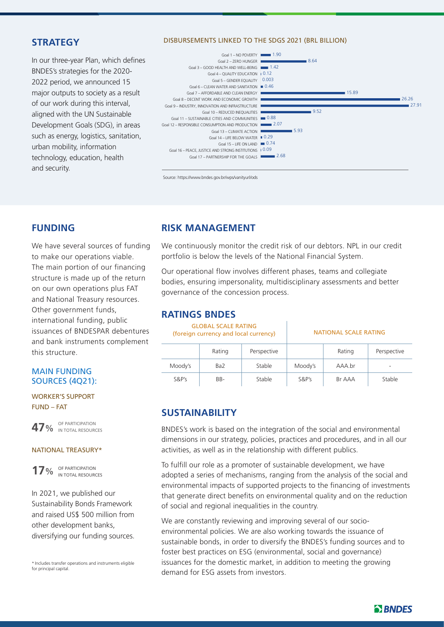# **STRATEGY**

In our three-year Plan, which defines BNDES's strategies for the 2020- 2022 period, we announced 15 major outputs to society as a result of our work during this interval, aligned with the UN Sustainable Development Goals (SDG), in areas such as energy, logistics, sanitation, urban mobility, information technology, education, health and security.

#### DISBURSEMENTS LINKED TO THE SDGS 2021 (BRL BILLION)



Source: https://www.bndes.gov.br/wps/vanityurl/ods

# **FUNDING**

We have several sources of funding to make our operations viable. The main portion of our financing structure is made up of the return on our own operations plus FAT and National Treasury resources. Other government funds, international funding, public issuances of BNDESPAR debentures and bank instruments complement this structure.

#### MAIN FUNDING SOURCES (4Q21):

WORKER'S SUPPORT FUND – FAT



**47**% <sup>OF PARTICIPATION</sup> IN TOTAL RESOURCES

#### NATIONAL TREASURY\*

**17**% OF PARTICIPATION IN TOTAL RESOURCES

In 2021, we published our Sustainability Bonds Framework and raised US\$ 500 million from other development banks, diversifying our funding sources.

\* Includes transfer operations and instruments eligible for principal capital

# **RISK MANAGEMENT**

We continuously monitor the credit risk of our debtors. NPL in our credit portfolio is below the levels of the National Financial System.

Our operational flow involves different phases, teams and collegiate bodies, ensuring impersonality, multidisciplinary assessments and better governance of the concession process.

### **RATINGS BNDES**

GLOBAL SCALE RATING (foreign currency and local currency) NATIONAL SCALE RATING

|          | Rating          | Perspective |          | Rating | Perspective |  |
|----------|-----------------|-------------|----------|--------|-------------|--|
| Moody's  | Ba <sub>2</sub> | Stable      | Moody's  | AAA.br | $\equiv$    |  |
| $S\&P's$ | BB-             | Stable      | $S\&P's$ | Br AAA | Stable      |  |

# **SUSTAINABILITY**

BNDES's work is based on the integration of the social and environmental dimensions in our strategy, policies, practices and procedures, and in all our activities, as well as in the relationship with different publics.

To fulfill our role as a promoter of sustainable development, we have adopted a series of mechanisms, ranging from the analysis of the social and environmental impacts of supported projects to the financing of investments that generate direct benefits on environmental quality and on the reduction of social and regional inequalities in the country.

We are constantly reviewing and improving several of our socioenvironmental policies. We are also working towards the issuance of sustainable bonds, in order to diversify the BNDES's funding sources and to foster best practices on ESG (environmental, social and governance) issuances for the domestic market, in addition to meeting the growing demand for ESG assets from investors.

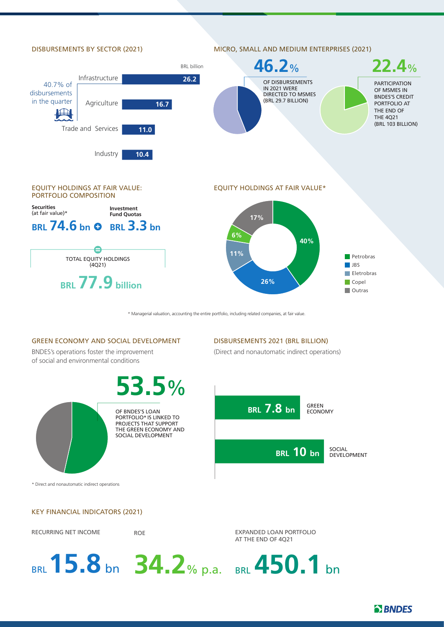

\* Managerial valuation, accounting the entire portfolio, including related companies, at fair value.

#### GREEN ECONOMY AND SOCIAL DEVELOPMENT

BNDES's operations foster the improvement of social and environmental conditions

**53.5**%



OF BNDES'S LOAN PORTFOLIO\* IS LINKED TO PROJECTS THAT SUPPORT THE GREEN ECONOMY AND SOCIAL DEVELOPMENT

DISBURSEMENTS 2021 (BRL BILLION)

(Direct and nonautomatic indirect operations)



\* Direct and nonautomatic indirect operations

#### KEY FINANCIAL INDICATORS (2021)

RECURRING NET INCOME

ROE

EXPANDED LOAN PORTFOLIO AT THE END OF 4Q21

**34.2**% p.a. BRL**15.8** bn BRL **450.1** bn

**B** BNDES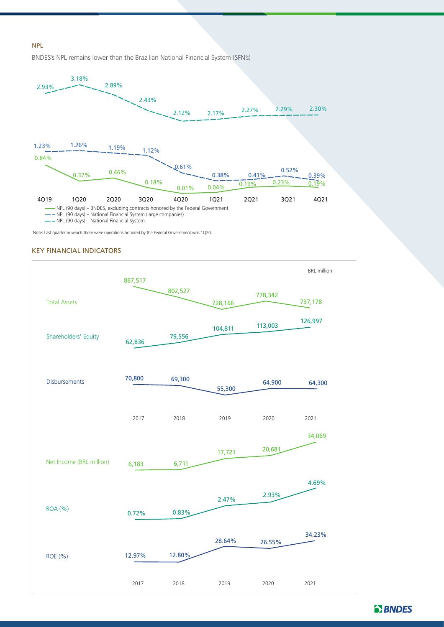#### NPL

BNDES's NPL remains lower than the Brazilian National Financial System (SFN's)



- NPL (90 days) – National Financial System

Note: Last quarter in which there were operations honored by the Federal Government was 1Q20.

#### KEY FINANCIAL INDICATORS